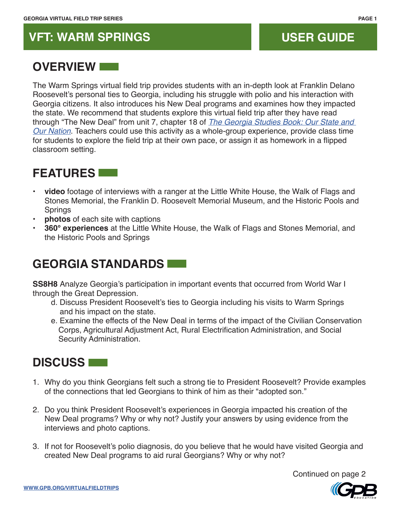# **VFT: WARM SPRINGS USER GUIDE**

## **OVERVIEW**

The Warm Springs virtual field trip provides students with an in-depth look at Franklin Delano Roosevelt's personal ties to Georgia, including his struggle with polio and his interaction with Georgia citizens. It also introduces his New Deal programs and examines how they impacted the state. We recommend that students explore this virtual field trip after they have read through "The New Deal" from unit 7, chapter 18 of *[The Georgia Studies Book: Our State and](http://www.gpb.org/georgia-textbook)  [Our Nation](http://www.gpb.org/georgia-textbook)*. Teachers could use this activity as a whole-group experience, provide class time for students to explore the field trip at their own pace, or assign it as homework in a flipped classroom setting.

# **FEATURES**

- **video** footage of interviews with a ranger at the Little White House, the Walk of Flags and Stones Memorial, the Franklin D. Roosevelt Memorial Museum, and the Historic Pools and Springs
- **photos** of each site with captions
- **360° experiences** at the Little White House, the Walk of Flags and Stones Memorial, and the Historic Pools and Springs

## **GEORGIA STANDARDS**

**SS8H8** Analyze Georgia's participation in important events that occurred from World War I through the Great Depression.

- d. Discuss President Roosevelt's ties to Georgia including his visits to Warm Springs and his impact on the state.
- e. Examine the effects of the New Deal in terms of the impact of the Civilian Conservation Corps, Agricultural Adjustment Act, Rural Electrification Administration, and Social Security Administration.

### **DISCUSS**

- 1. Why do you think Georgians felt such a strong tie to President Roosevelt? Provide examples of the connections that led Georgians to think of him as their "adopted son."
- 2. Do you think President Roosevelt's experiences in Georgia impacted his creation of the New Deal programs? Why or why not? Justify your answers by using evidence from the interviews and photo captions.
- 3. If not for Roosevelt's polio diagnosis, do you believe that he would have visited Georgia and created New Deal programs to aid rural Georgians? Why or why not?

Continued on page 2